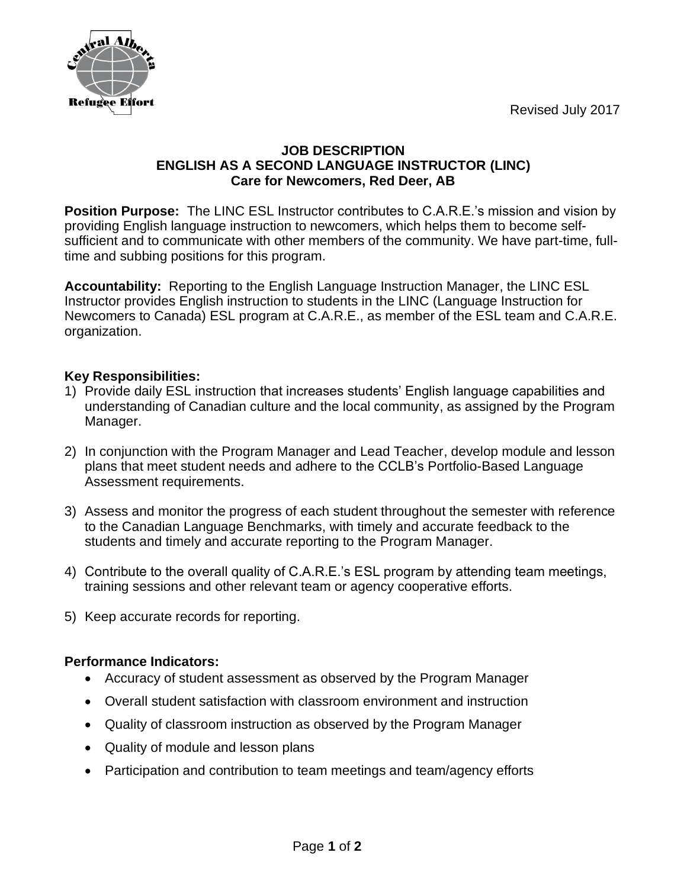Revised July 2017



## **JOB DESCRIPTION ENGLISH AS A SECOND LANGUAGE INSTRUCTOR (LINC) Care for Newcomers, Red Deer, AB**

**Position Purpose:** The LINC ESL Instructor contributes to C.A.R.E.'s mission and vision by providing English language instruction to newcomers, which helps them to become selfsufficient and to communicate with other members of the community. We have part-time, fulltime and subbing positions for this program.

**Accountability:** Reporting to the English Language Instruction Manager, the LINC ESL Instructor provides English instruction to students in the LINC (Language Instruction for Newcomers to Canada) ESL program at C.A.R.E., as member of the ESL team and C.A.R.E. organization.

## **Key Responsibilities:**

- 1) Provide daily ESL instruction that increases students' English language capabilities and understanding of Canadian culture and the local community, as assigned by the Program Manager.
- 2) In conjunction with the Program Manager and Lead Teacher, develop module and lesson plans that meet student needs and adhere to the CCLB's Portfolio-Based Language Assessment requirements.
- 3) Assess and monitor the progress of each student throughout the semester with reference to the Canadian Language Benchmarks, with timely and accurate feedback to the students and timely and accurate reporting to the Program Manager.
- 4) Contribute to the overall quality of C.A.R.E.'s ESL program by attending team meetings, training sessions and other relevant team or agency cooperative efforts.
- 5) Keep accurate records for reporting.

## **Performance Indicators:**

- Accuracy of student assessment as observed by the Program Manager
- Overall student satisfaction with classroom environment and instruction
- Quality of classroom instruction as observed by the Program Manager
- Quality of module and lesson plans
- Participation and contribution to team meetings and team/agency efforts